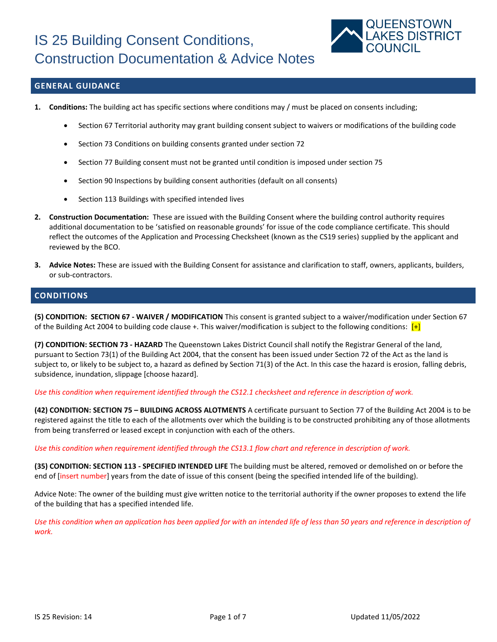

### **GENERAL GUIDANCE**

- **1. Conditions:** The building act has specific sections where conditions may / must be placed on consents including;
	- Section 67 Territorial authority may grant building consent subject to waivers or modifications of the building code
	- Section 73 Conditions on building consents granted under section 72
	- Section 77 Building consent must not be granted until condition is imposed under section 75
	- Section 90 Inspections by building consent authorities (default on all consents)
	- Section 113 Buildings with specified intended lives
- **2. Construction Documentation:** These are issued with the Building Consent where the building control authority requires additional documentation to be 'satisfied on reasonable grounds' for issue of the code compliance certificate. This should reflect the outcomes of the Application and Processing Checksheet (known as the CS19 series) supplied by the applicant and reviewed by the BCO.
- **3. Advice Notes:** These are issued with the Building Consent for assistance and clarification to staff, owners, applicants, builders, or sub-contractors.

### **CONDITIONS**

**(5) CONDITION: SECTION 67 - WAIVER / MODIFICATION** This consent is granted subject to a waiver/modification under Section 67 of the Building Act 2004 to building code clause +. This waiver/modification is subject to the following conditions:  $[+]$ 

**(7) CONDITION: SECTION 73 - HAZARD** The Queenstown Lakes District Council shall notify the Registrar General of the land, pursuant to Section 73(1) of the Building Act 2004, that the consent has been issued under Section 72 of the Act as the land is subject to, or likely to be subject to, a hazard as defined by Section 71(3) of the Act. In this case the hazard is erosion, falling debris, subsidence, inundation, slippage [choose hazard].

*Use this condition when requirement identified through the CS12.1 checksheet and reference in description of work.*

**(42) CONDITION: SECTION 75 – BUILDING ACROSS ALOTMENTS** A certificate pursuant to Section 77 of the Building Act 2004 is to be registered against the title to each of the allotments over which the building is to be constructed prohibiting any of those allotments from being transferred or leased except in conjunction with each of the others.

*Use this condition when requirement identified through the CS13.1 flow chart and reference in description of work.*

**(35) CONDITION: SECTION 113 - SPECIFIED INTENDED LIFE** The building must be altered, removed or demolished on or before the end of [insert number] years from the date of issue of this consent (being the specified intended life of the building).

Advice Note: The owner of the building must give written notice to the territorial authority if the owner proposes to extend the life of the building that has a specified intended life.

*Use this condition when an application has been applied for with an intended life of less than 50 years and reference in description of work.*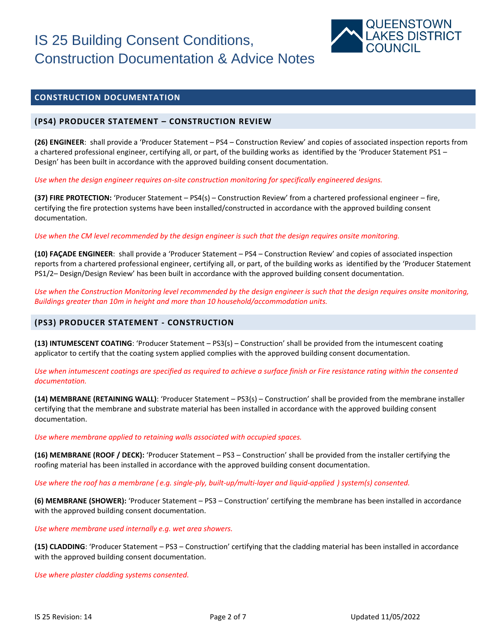

### **CONSTRUCTION DOCUMENTATION**

### **(PS4) PRODUCER STATEMENT – CONSTRUCTION REVIEW**

**(26) ENGINEER**: shall provide a 'Producer Statement – PS4 – Construction Review' and copies of associated inspection reports from a chartered professional engineer, certifying all, or part, of the building works as identified by the 'Producer Statement PS1 – Design' has been built in accordance with the approved building consent documentation.

*Use when the design engineer requires on-site construction monitoring for specifically engineered designs.*

**(37) FIRE PROTECTION:** 'Producer Statement – PS4(s) – Construction Review' from a chartered professional engineer – fire, certifying the fire protection systems have been installed/constructed in accordance with the approved building consent documentation.

*Use when the CM level recommended by the design engineer is such that the design requires onsite monitoring.*

**(10) FAÇADE ENGINEER**: shall provide a 'Producer Statement – PS4 – Construction Review' and copies of associated inspection reports from a chartered professional engineer, certifying all, or part, of the building works as identified by the 'Producer Statement PS1/2– Design/Design Review' has been built in accordance with the approved building consent documentation.

*Use when the Construction Monitoring level recommended by the design engineer is such that the design requires onsite monitoring, Buildings greater than 10m in height and more than 10 household/accommodation units.*

### **(PS3) PRODUCER STATEMENT - CONSTRUCTION**

**(13) INTUMESCENT COATING**: 'Producer Statement – PS3(s) – Construction' shall be provided from the intumescent coating applicator to certify that the coating system applied complies with the approved building consent documentation.

*Use when intumescent coatings are specified as required to achieve a surface finish or Fire resistance rating within the consented documentation.*

**(14) MEMBRANE (RETAINING WALL)**: 'Producer Statement – PS3(s) – Construction' shall be provided from the membrane installer certifying that the membrane and substrate material has been installed in accordance with the approved building consent documentation.

*Use where membrane applied to retaining walls associated with occupied spaces.*

**(16) MEMBRANE (ROOF / DECK):** 'Producer Statement – PS3 – Construction' shall be provided from the installer certifying the roofing material has been installed in accordance with the approved building consent documentation.

*Use where the roof has a membrane ( e.g. single-ply, built-up/multi-layer and liquid-applied ) system(s) consented.*

**(6) MEMBRANE (SHOWER):** 'Producer Statement – PS3 – Construction' certifying the membrane has been installed in accordance with the approved building consent documentation.

*Use where membrane used internally e.g. wet area showers.*

**(15) CLADDING**: 'Producer Statement – PS3 – Construction' certifying that the cladding material has been installed in accordance with the approved building consent documentation.

*Use where plaster cladding systems consented.*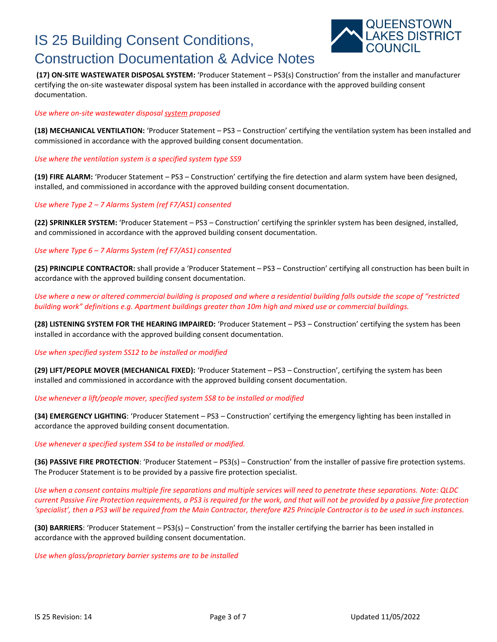

**(17) ON-SITE WASTEWATER DISPOSAL SYSTEM:** 'Producer Statement – PS3(s) Construction' from the installer and manufacturer certifying the on-site wastewater disposal system has been installed in accordance with the approved building consent documentation.

### *Use where on-site wastewater disposal system proposed*

**(18) MECHANICAL VENTILATION:** 'Producer Statement – PS3 – Construction' certifying the ventilation system has been installed and commissioned in accordance with the approved building consent documentation.

*Use where the ventilation system is a specified system type SS9*

**(19) FIRE ALARM:** 'Producer Statement – PS3 – Construction' certifying the fire detection and alarm system have been designed, installed, and commissioned in accordance with the approved building consent documentation.

### *Use where Type 2* – *7 Alarms System (ref F7/AS1) consented*

**(22) SPRINKLER SYSTEM:** 'Producer Statement – PS3 – Construction' certifying the sprinkler system has been designed, installed, and commissioned in accordance with the approved building consent documentation.

### *Use where Type 6* – *7 Alarms System (ref F7/AS1) consented*

**(25) PRINCIPLE CONTRACTOR:** shall provide a 'Producer Statement – PS3 – Construction' certifying all construction has been built in accordance with the approved building consent documentation.

*Use where a new or altered commercial building is proposed and where a residential building falls outside the scope of "restricted building work" definitions e.g. Apartment buildings greater than 10m high and mixed use or commercial buildings.*

**(28) LISTENING SYSTEM FOR THE HEARING IMPAIRED:** 'Producer Statement – PS3 – Construction' certifying the system has been installed in accordance with the approved building consent documentation.

### *Use when specified system SS12 to be installed or modified*

**(29) LIFT/PEOPLE MOVER (MECHANICAL FIXED):** 'Producer Statement – PS3 – Construction', certifying the system has been installed and commissioned in accordance with the approved building consent documentation.

### *Use whenever a lift/people mover, specified system SS8 to be installed or modified*

**(34) EMERGENCY LIGHTING**: 'Producer Statement – PS3 – Construction' certifying the emergency lighting has been installed in accordance the approved building consent documentation.

### *Use whenever a specified system SS4 to be installed or modified.*

**(36) PASSIVE FIRE PROTECTION**: 'Producer Statement – PS3(s) – Construction' from the installer of passive fire protection systems. The Producer Statement is to be provided by a passive fire protection specialist.

*Use when a consent contains multiple fire separations and multiple services will need to penetrate these separations. Note: QLDC current Passive Fire Protection requirements, a PS3 is required for the work, and that will not be provided by a passive fire protection 'specialist', then a PS3 will be required from the Main Contractor, therefore #25 Principle Contractor is to be used in such instances.*

**(30) BARRIERS**: 'Producer Statement – PS3(s) – Construction' from the installer certifying the barrier has been installed in accordance with the approved building consent documentation.

*Use when glass/proprietary barrier systems are to be installed*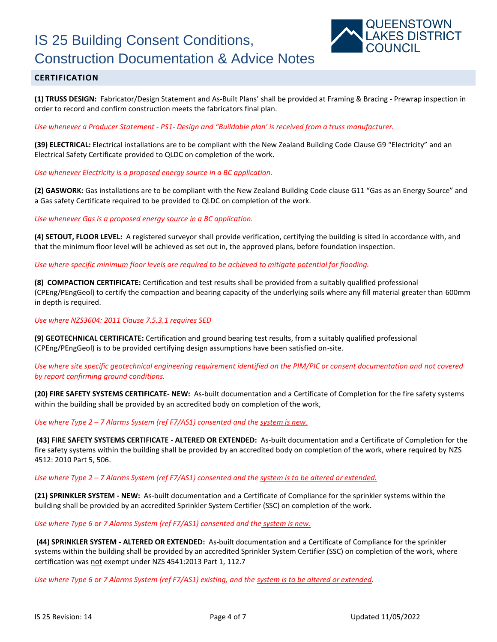

### **CERTIFICATION**

**(1) TRUSS DESIGN:** Fabricator/Design Statement and As-Built Plans' shall be provided at Framing & Bracing - Prewrap inspection in order to record and confirm construction meets the fabricators final plan.

*Use whenever a Producer Statement - PS1- Design and "Buildable plan' is received from a truss manufacturer.*

**(39) ELECTRICAL:** Electrical installations are to be compliant with the New Zealand Building Code Clause G9 "Electricity" and an Electrical Safety Certificate provided to QLDC on completion of the work.

*Use whenever Electricity is a proposed energy source in a BC application.* 

**(2) GASWORK:** Gas installations are to be compliant with the New Zealand Building Code clause G11 "Gas as an Energy Source" and a Gas safety Certificate required to be provided to QLDC on completion of the work.

*Use whenever Gas is a proposed energy source in a BC application.* 

**(4) SETOUT, FLOOR LEVEL:** A registered surveyor shall provide verification, certifying the building is sited in accordance with, and that the minimum floor level will be achieved as set out in, the approved plans, before foundation inspection.

*Use where specific minimum floor levels are required to be achieved to mitigate potential for flooding.*

**(8) COMPACTION CERTIFICATE:** Certification and test results shall be provided from a suitably qualified professional (CPEng/PEngGeol) to certify the compaction and bearing capacity of the underlying soils where any fill material greater than 600mm in depth is required.

*Use where NZS3604: 2011 Clause 7.5.3.1 requires SED* 

**(9) GEOTECHNICAL CERTIFICATE:** Certification and ground bearing test results, from a suitably qualified professional (CPEng/PEngGeol) is to be provided certifying design assumptions have been satisfied on-site.

*Use where site specific geotechnical engineering requirement identified on the PIM/PIC or consent documentation and not covered by report confirming ground conditions.*

**(20) FIRE SAFETY SYSTEMS CERTIFICATE- NEW:** As-built documentation and a Certificate of Completion for the fire safety systems within the building shall be provided by an accredited body on completion of the work,

*Use where Type 2* – *7 Alarms System (ref F7/AS1) consented and the system is new.*

**(43) FIRE SAFETY SYSTEMS CERTIFICATE - ALTERED OR EXTENDED:** As-built documentation and a Certificate of Completion for the fire safety systems within the building shall be provided by an accredited body on completion of the work, where required by NZS 4512: 2010 Part 5, 506.

*Use where Type 2* – *7 Alarms System (ref F7/AS1) consented and the system is to be altered or extended.*

**(21) SPRINKLER SYSTEM - NEW:** As-built documentation and a Certificate of Compliance for the sprinkler systems within the building shall be provided by an accredited Sprinkler System Certifier (SSC) on completion of the work.

*Use where Type 6* or *7 Alarms System (ref F7/AS1) consented and the system is new.*

**(44) SPRINKLER SYSTEM - ALTERED OR EXTENDED:** As-built documentation and a Certificate of Compliance for the sprinkler systems within the building shall be provided by an accredited Sprinkler System Certifier (SSC) on completion of the work, where certification was not exempt under NZS 4541:2013 Part 1, 112.7

*Use where Type 6* or *7 Alarms System (ref F7/AS1) existing, and the system is to be altered or extended.*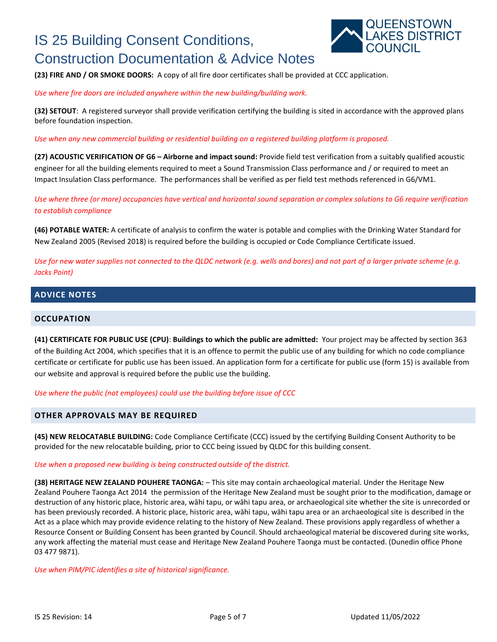

**(23) FIRE AND / OR SMOKE DOORS:** A copy of all fire door certificates shall be provided at CCC application.

*Use where fire doors are included anywhere within the new building/building work.*

**(32) SETOUT**: A registered surveyor shall provide verification certifying the building is sited in accordance with the approved plans before foundation inspection.

*Use when any new commercial building or residential building on a registered building platform is proposed.*

**(27) ACOUSTIC VERIFICATION OF G6 – Airborne and impact sound:** Provide field test verification from a suitably qualified acoustic engineer for all the building elements required to meet a Sound Transmission Class performance and / or required to meet an Impact Insulation Class performance. The performances shall be verified as per field test methods referenced in G6/VM1.

*Use where three (or more) occupancies have vertical and horizontal sound separation or complex solutions to G6 require verification to establish compliance*

**(46) POTABLE WATER:** A certificate of analysis to confirm the water is potable and complies with the Drinking Water Standard for New Zealand 2005 (Revised 2018) is required before the building is occupied or Code Compliance Certificate issued.

*Use for new water supplies not connected to the QLDC network (e.g. wells and bores) and not part of a larger private scheme (e.g. Jacks Point)*

## **ADVICE NOTES**

### **OCCUPATION**

**(41) CERTIFICATE FOR PUBLIC USE (CPU)**: **Buildings to which the public are admitted:** Your project may be affected by section 363 of the Building Act 2004, which specifies that it is an offence to permit the public use of any building for which no code compliance certificate or certificate for public use has been issued. An application form for a certificate for public use (form 15) is available from our website and approval is required before the public use the building.

*Use where the public (not employees) could use the building before issue of CCC*

### **OTHER APPROVALS MAY BE REQUIRED**

**(45) NEW RELOCATABLE BUILDING:** Code Compliance Certificate (CCC) issued by the certifying Building Consent Authority to be provided for the new relocatable building, prior to CCC being issued by QLDC for this building consent.

### *Use when a proposed new building is being constructed outside of the district.*

**(38) HERITAGE NEW ZEALAND POUHERE TAONGA:** – This site may contain archaeological material. Under the Heritage New Zealand Pouhere Taonga Act 2014 the permission of the Heritage New Zealand must be sought prior to the modification, damage or destruction of any historic place, historic area, wāhi tapu, or wāhi tapu area, or archaeological site whether the site is unrecorded or has been previously recorded. A historic place, historic area, wāhi tapu, wāhi tapu area or an archaeological site is described in the Act as a place which may provide evidence relating to the history of New Zealand. These provisions apply regardless of whether a Resource Consent or Building Consent has been granted by Council. Should archaeological material be discovered during site works, any work affecting the material must cease and Heritage New Zealand Pouhere Taonga must be contacted. (Dunedin office Phone 03 477 9871).

*Use when PIM/PIC identifies a site of historical significance.*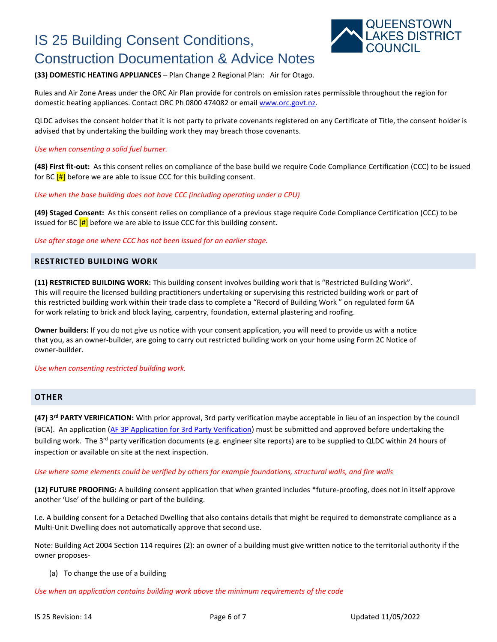

### **(33) DOMESTIC HEATING APPLIANCES** – Plan Change 2 Regional Plan: Air for Otago.

Rules and Air Zone Areas under the ORC Air Plan provide for controls on emission rates permissible throughout the region for domestic heating appliances. Contact ORC Ph 0800 474082 or email [www.orc.govt.nz.](http://www.orc.govt.nz/)

QLDC advises the consent holder that it is not party to private covenants registered on any Certificate of Title, the consent holder is advised that by undertaking the building work they may breach those covenants.

### *Use when consenting a solid fuel burner.*

**(48) First fit-out:** As this consent relies on compliance of the base build we require Code Compliance Certification (CCC) to be issued for BC  $[H]$  before we are able to issue CCC for this building consent.

*Use when the base building does not have CCC (including operating under a CPU)*

**(49) Staged Consent:** As this consent relies on compliance of a previous stage require Code Compliance Certification (CCC) to be issued for BC  $[H]$  before we are able to issue CCC for this building consent.

*Use after stage one where CCC has not been issued for an earlier stage.*

### **RESTRICTED BUILDING WORK**

**(11) RESTRICTED BUILDING WORK:** This building consent involves building work that is "Restricted Building Work". This will require the licensed building practitioners undertaking or supervising this restricted building work or part of this restricted building work within their trade class to complete a "Record of Building Work " on regulated form 6A for work relating to brick and block laying, carpentry, foundation, external plastering and roofing.

**Owner builders:** If you do not give us notice with your consent application, you will need to provide us with a notice that you, as an owner-builder, are going to carry out restricted building work on your home using Form 2C Notice of owner-builder.

*Use when consenting restricted building work.*

### **OTHER**

**(47) 3rd PARTY VERIFICATION:** With prior approval, 3rd party verification maybe acceptable in lieu of an inspection by the council (BCA). An application [\(AF 3P Application for 3rd Party Verification\)](https://www.qldc.govt.nz/services/building-services/application-forms-checksheets-and-guidance) must be submitted and approved before undertaking the building work. The 3<sup>rd</sup> party verification documents (e.g. engineer site reports) are to be supplied to QLDC within 24 hours of inspection or available on site at the next inspection.

### *Use where some elements could be verified by others for example foundations, structural walls, and fire walls*

**(12) FUTURE PROOFING:** A building consent application that when granted includes \*future-proofing, does not in itself approve another 'Use' of the building or part of the building.

I.e. A building consent for a Detached Dwelling that also contains details that might be required to demonstrate compliance as a Multi-Unit Dwelling does not automatically approve that second use.

Note: Building Act 2004 Section 114 requires (2): an owner of a building must give written notice to the territorial authority if the owner proposes-

(a) To change the use of a building

*Use when an application contains building work above the minimum requirements of the code*